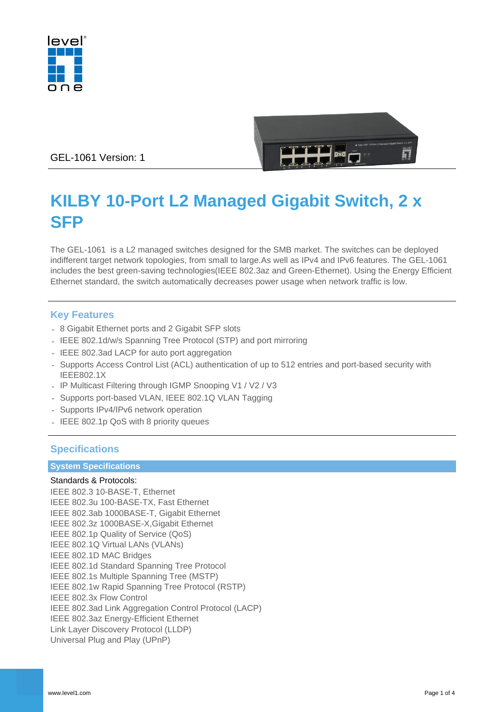



GEL-1061 Version: 1

# **KILBY 10-Port L2 Managed Gigabit Switch, 2 x SFP**

The GEL-1061 is a L2 managed switches designed for the SMB market. The switches can be deployed indifferent target network topologies, from small to large.As well as IPv4 and IPv6 features. The GEL-1061 includes the best green-saving technologies(IEEE 802.3az and Green-Ethernet). Using the Energy Efficient Ethernet standard, the switch automatically decreases power usage when network traffic is low.

## **Key Features**

- 8 Gigabit Ethernet ports and 2 Gigabit SFP slots
- IEEE 802.1d/w/s Spanning Tree Protocol (STP) and port mirroring
- IEEE 802.3ad LACP for auto port aggregation
- Supports Access Control List (ACL) authentication of up to 512 entries and port-based security with IEEE802.1X
- IP Multicast Filtering through IGMP Snooping V1 / V2 / V3
- Supports port-based VLAN, IEEE 802.1Q VLAN Tagging
- Supports IPv4/IPv6 network operation
- IEEE 802.1p QoS with 8 priority queues

## **Specifications**

#### **System Specifications**

#### Standards & Protocols:

IEEE 802.3 10-BASE-T, Ethernet IEEE 802.3u 100-BASE-TX, Fast Ethernet IEEE 802.3ab 1000BASE-T, Gigabit Ethernet IEEE 802.3z 1000BASE-X,Gigabit Ethernet IEEE 802.1p Quality of Service (QoS) IEEE 802.1Q Virtual LANs (VLANs) IEEE 802.1D MAC Bridges IEEE 802.1d Standard Spanning Tree Protocol IEEE 802.1s Multiple Spanning Tree (MSTP) IEEE 802.1w Rapid Spanning Tree Protocol (RSTP) IEEE 802.3x Flow Control IEEE 802.3ad Link Aggregation Control Protocol (LACP) IEEE 802.3az Energy-Efficient Ethernet Link Layer Discovery Protocol (LLDP) Universal Plug and Play (UPnP)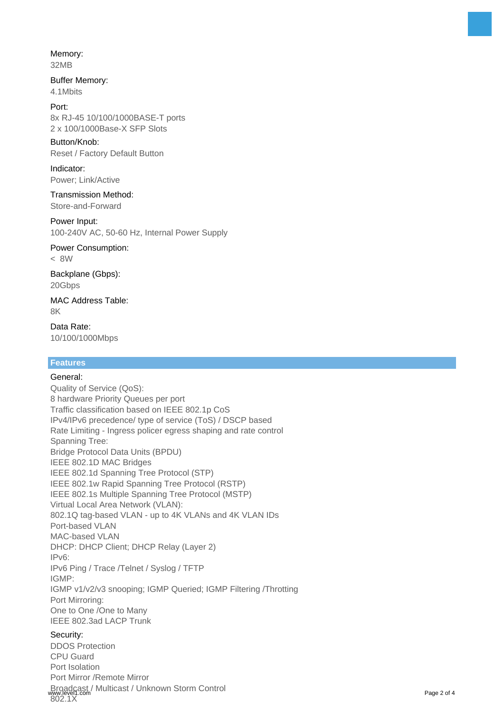## Memory:

32MB

#### Buffer Memory: 4.1Mbits

## Port:

8x RJ-45 10/100/1000BASE-T ports 2 x 100/1000Base-X SFP Slots

#### Button/Knob:

Reset / Factory Default Button

#### Indicator: Power; Link/Active

Transmission Method: Store-and-Forward

#### Power Input:

100-240V AC, 50-60 Hz, Internal Power Supply

Power Consumption: < 8W

Backplane (Gbps): 20Gbps

MAC Address Table: 8K

Data Rate: 10/100/1000Mbps

#### **Features**

#### General: Quality of Service (QoS): 8 hardware Priority Queues per port Traffic classification based on IEEE 802.1p CoS IPv4/IPv6 precedence/ type of service (ToS) / DSCP based Rate Limiting - Ingress policer egress shaping and rate control Spanning Tree: Bridge Protocol Data Units (BPDU) IEEE 802.1D MAC Bridges IEEE 802.1d Spanning Tree Protocol (STP) IEEE 802.1w Rapid Spanning Tree Protocol (RSTP) IEEE 802.1s Multiple Spanning Tree Protocol (MSTP) Virtual Local Area Network (VLAN): 802.1Q tag-based VLAN - up to 4K VLANs and 4K VLAN IDs Port-based VLAN MAC-based VLAN DHCP: DHCP Client; DHCP Relay (Layer 2) IPv6: IPv6 Ping / Trace /Telnet / Syslog / TFTP IGMP: IGMP v1/v2/v3 snooping; IGMP Queried; IGMP Filtering /Throtting Port Mirroring: One to One /One to Many IEEE 802.3ad LACP Trunk Security:

DDOS Protection CPU Guard Port Isolation Port Mirror /Remote Mirror Broadcast / Multicast / Unknown Storm Control www.level1.com managed. University of the commutation of the community of the Page 2 of 4<br>802.1X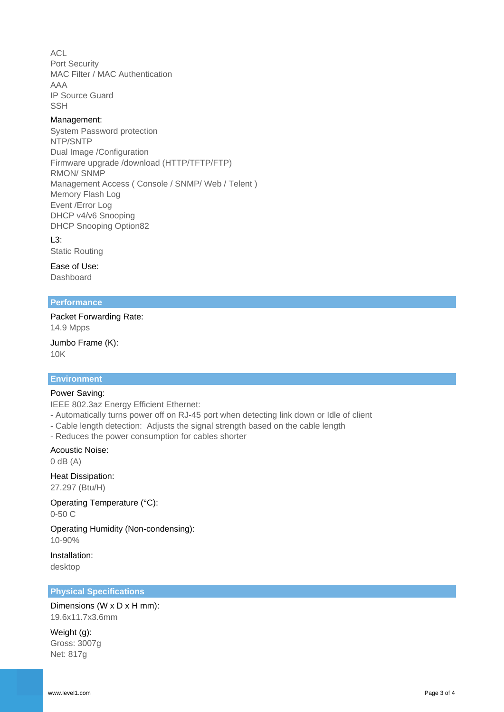ACL Port Security MAC Filter / MAC Authentication AAA IP Source Guard **SSH** 

#### Management:

System Password protection NTP/SNTP Dual Image /Configuration Firmware upgrade /download (HTTP/TFTP/FTP) RMON/ SNMP Management Access ( Console / SNMP/ Web / Telent ) Memory Flash Log Event /Error Log DHCP v4/v6 Snooping DHCP Snooping Option82

 $L3$ : Static Routing

Ease of Use: Dashboard

#### **Performance**

Packet Forwarding Rate: 14.9 Mpps

Jumbo Frame (K): 10K

## **Environment**

#### Power Saving:

IEEE 802.3az Energy Efficient Ethernet:

- Automatically turns power off on RJ-45 port when detecting link down or Idle of client
- Cable length detection: Adjusts the signal strength based on the cable length
- Reduces the power consumption for cables shorter

#### Acoustic Noise:

 $0$  dB  $(A)$ 

Heat Dissipation:

27.297 (Btu/H)

Operating Temperature (°C): 0-50 C

Operating Humidity (Non-condensing): 10-90%

Installation: desktop

#### **Physical Specifications**

Dimensions (W x D x H mm): 19.6x11.7x3.6mm

Weight (g): Gross: 3007g Net: 817g